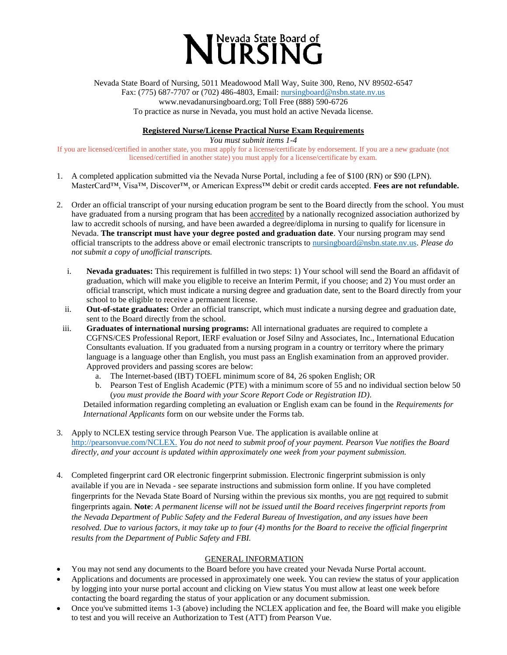

Nevada State Board of Nursing, 5011 Meadowood Mall Way, Suite 300, Reno, NV 89502-6547 Fax: (775) 687-7707 or (702) 486-4803, Email: [nursingboard@nsbn.state.nv.us](mailto:nursingboard@nsbn.state.nv.us) www.nevadanursingboard.org; Toll Free (888) 590-6726 To practice as nurse in Nevada, you must hold an active Nevada license.

**Registered Nurse/License Practical Nurse Exam Requirements**

*You must submit items 1-4*

If you are licensed/certified in another state, you must apply for a license/certificate by endorsement. If you are a new graduate (not licensed/certified in another state) you must apply for a license/certificate by exam.

- 1. A completed application submitted via the Nevada Nurse Portal, including a fee of \$100 (RN) or \$90 (LPN). MasterCard™, Visa™, Discover™, or American Express™ debit or credit cards accepted. **Fees are not refundable.**
- 2. Order an official transcript of your nursing education program be sent to the Board directly from the school. You must have graduated from a nursing program that has been **accredited** by a nationally recognized association authorized by law to accredit schools of nursing, and have been awarded a degree/diploma in nursing to qualify for licensure in Nevada. **The transcript must have your degree posted and graduation date**. Your nursing program may send official transcripts to the address above or email electronic transcripts t[o nursingboard@nsbn.state.nv.us.](mailto:nursingboard@nsbn.state.nv.us) *Please do not submit a copy of unofficial transcripts.*
	- i. **Nevada graduates:** This requirement is fulfilled in two steps: 1) Your school will send the Board an affidavit of graduation, which will make you eligible to receive an Interim Permit, if you choose; and 2) You must order an official transcript, which must indicate a nursing degree and graduation date, sent to the Board directly from your school to be eligible to receive a permanent license.
	- ii. **Out-of-state graduates:** Order an official transcript, which must indicate a nursing degree and graduation date, sent to the Board directly from the school.
	- iii. **Graduates of international nursing programs:** All international graduates are required to complete a CGFNS/CES Professional Report, IERF evaluation or Josef Silny and Associates, Inc., International Education Consultants evaluation. If you graduated from a nursing program in a country or territory where the primary language is a language other than English, you must pass an English examination from an approved provider. Approved providers and passing scores are below:
		- a. The Internet-based (IBT) TOEFL minimum score of 84, 26 spoken English; OR
		- b. Pearson Test of English Academic (PTE) with a minimum score of 55 and no individual section below 50 (*you must provide the Board with your Score Report Code or Registration ID)*.

Detailed information regarding completing an evaluation or English exam can be found in the *Requirements for International Applicants* form on our website under the Forms tab.

- 3. Apply to NCLEX testing service through Pearson Vue. The application is available online at [http://pearsonvue.com/NCLEX.](http://pearsonvue.com/NCLEX) *You do not need to submit proof of your payment. Pearson Vue notifies the Board directly, and your account is updated within approximately one week from your payment submission.*
- 4. Completed fingerprint card OR electronic fingerprint submission. Electronic fingerprint submission is only available if you are in Nevada - see separate instructions and submission form online. If you have completed fingerprints for the Nevada State Board of Nursing within the previous six months, you are not required to submit fingerprints again. **Note**: *A permanent license will not be issued until the Board receives fingerprint reports from the Nevada Department of Public Safety and the Federal Bureau of Investigation, and any issues have been resolved. Due to various factors, it may take up to four (4) months for the Board to receive the official fingerprint results from the Department of Public Safety and FBI.*

## GENERAL INFORMATION

- You may not send any documents to the Board before you have created your Nevada Nurse Portal account.
- Applications and documents are processed in approximately one week. You can review the status of your application by logging into your nurse portal account and clicking on View status You must allow at least one week before contacting the board regarding the status of your application or any document submission.
- Once you've submitted items 1-3 (above) including the NCLEX application and fee, the Board will make you eligible to test and you will receive an Authorization to Test (ATT) from Pearson Vue.